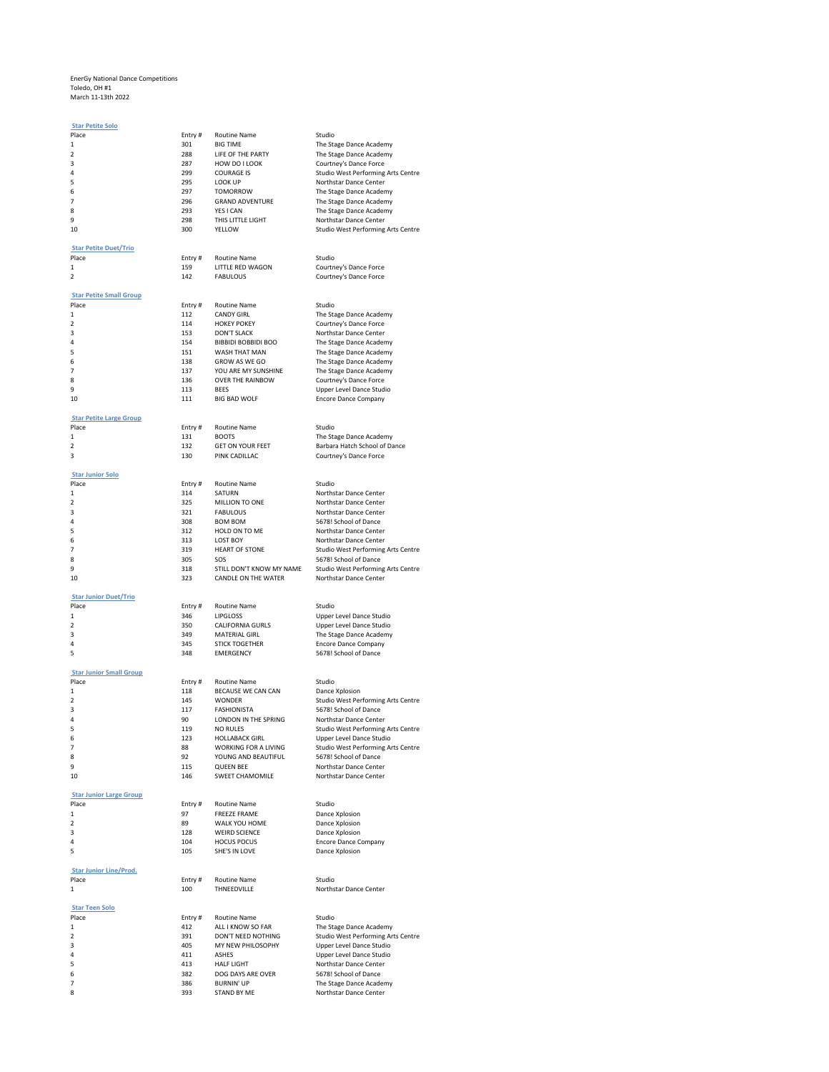## EnerGy National Dance Competitions Toledo, OH #1 March 11-13th 2022

| March 11-13th 2022             |               |                                     |                                                              |
|--------------------------------|---------------|-------------------------------------|--------------------------------------------------------------|
| <b>Star Petite Solo</b>        |               |                                     |                                                              |
| Place                          | Entry#        | <b>Routine Name</b>                 | Studio                                                       |
| 1                              | 301           | <b>BIG TIME</b>                     | The Stage Dance Academy                                      |
| 2                              | 288           | LIFE OF THE PARTY                   | The Stage Dance Academy                                      |
| 3                              | 287           | HOW DO I LOOK<br><b>COURAGE IS</b>  | Courtney's Dance Force                                       |
| 4<br>5                         | 299<br>295    | LOOK UP                             | Studio West Performing Arts Centre<br>Northstar Dance Center |
| 6                              | 297           | <b>TOMORROW</b>                     | The Stage Dance Academy                                      |
| 7                              | 296           | <b>GRAND ADVENTURE</b>              | The Stage Dance Academy                                      |
| 8                              | 293           | YES I CAN                           | The Stage Dance Academy                                      |
| 9                              | 298           | THIS LITTLE LIGHT                   | Northstar Dance Center                                       |
| 10                             | 300           | YELLOW                              | Studio West Performing Arts Centre                           |
|                                |               |                                     |                                                              |
| <b>Star Petite Duet/Trio</b>   |               |                                     |                                                              |
| Place                          | Entry#        | Routine Name                        | Studio                                                       |
| 1                              | 159           | LITTLE RED WAGON                    | Courtney's Dance Force                                       |
| 2                              | 142           | <b>FABULOUS</b>                     | Courtney's Dance Force                                       |
|                                |               |                                     |                                                              |
| <b>Star Petite Small Group</b> |               |                                     |                                                              |
| Place                          | Entry#<br>112 | Routine Name<br><b>CANDY GIRL</b>   | Studio                                                       |
| 1<br>2                         | 114           | <b>HOKEY POKEY</b>                  | The Stage Dance Academy                                      |
| 3                              | 153           | DON'T SLACK                         | Courtney's Dance Force<br>Northstar Dance Center             |
| 4                              | 154           | BIBBIDI BOBBIDI BOO                 | The Stage Dance Academy                                      |
| 5                              | 151           | WASH THAT MAN                       | The Stage Dance Academy                                      |
| 6                              | 138           | GROW AS WE GO                       | The Stage Dance Academy                                      |
| 7                              | 137           | YOU ARE MY SUNSHINE                 | The Stage Dance Academy                                      |
| 8                              | 136           | OVER THE RAINBOW                    | Courtney's Dance Force                                       |
| q                              | 113           | <b>BFFS</b>                         | Upper Level Dance Studio                                     |
| 10                             | 111           | <b>BIG BAD WOLF</b>                 | Encore Dance Company                                         |
|                                |               |                                     |                                                              |
| <b>Star Petite Large Group</b> |               |                                     |                                                              |
| Place                          | Entry#        | <b>Routine Name</b>                 | Studio                                                       |
| 1                              | 131           | <b>BOOTS</b>                        | The Stage Dance Academy                                      |
| 2                              | 132           | <b>GET ON YOUR FEET</b>             | Barbara Hatch School of Dance                                |
| 3                              | 130           | PINK CADILLAC                       | Courtney's Dance Force                                       |
|                                |               |                                     |                                                              |
| <b>Star Junior Solo</b>        |               |                                     |                                                              |
| Place                          | Entry#        | <b>Routine Name</b>                 | Studio                                                       |
| 1                              | 314           | SATURN                              | Northstar Dance Center                                       |
| 2<br>3                         | 325<br>321    | MILLION TO ONE<br><b>FABULOUS</b>   | Northstar Dance Center                                       |
| 4                              | 308           | <b>BOM BOM</b>                      | Northstar Dance Center<br>5678! School of Dance              |
| 5                              | 312           | HOLD ON TO ME                       | Northstar Dance Center                                       |
| 6                              | 313           | <b>LOST BOY</b>                     | Northstar Dance Center                                       |
| 7                              | 319           | <b>HEART OF STONE</b>               | Studio West Performing Arts Centre                           |
| 8                              | 305           | SOS                                 | 5678! School of Dance                                        |
| q                              | 318           | STILL DON'T KNOW MY NAME            | Studio West Performing Arts Centre                           |
| 10                             | 323           | CANDLE ON THE WATER                 | Northstar Dance Center                                       |
|                                |               |                                     |                                                              |
| <b>Star Junior Duet/Trio</b>   |               |                                     |                                                              |
| Place                          | Entry#        | Routine Name                        | Studio                                                       |
| 1                              | 346           | <b>LIPGLOSS</b>                     | Upper Level Dance Studio                                     |
| 2                              | 350           | CALIFORNIA GURLS                    | Upper Level Dance Studio                                     |
| 3                              | 349           | <b>MATERIAL GIRL</b>                | The Stage Dance Academy                                      |
| 4                              | 345           | <b>STICK TOGETHER</b>               | <b>Encore Dance Company</b>                                  |
| 5                              | 348           | <b>EMERGENCY</b>                    | 5678! School of Dance                                        |
|                                |               |                                     |                                                              |
| <b>Star Junior Small Group</b> |               |                                     |                                                              |
| Place<br>1                     | Entry#        | Routine Name                        | Studio                                                       |
| 2                              | 118<br>145    | BECAUSE WE CAN CAN<br><b>WONDER</b> | Dance Xplosion<br>Studio West Performing Arts Centre         |
| 3                              | 117           | <b>FASHIONISTA</b>                  | 5678! School of Dance                                        |
| 4                              | 90            | LONDON IN THE SPRING                | Northstar Dance Center                                       |
| 5                              | 119           | <b>NO RULES</b>                     | Studio West Performing Arts Centre                           |
| 6                              | 123           | <b>HOLLABACK GIRL</b>               | Upper Level Dance Studio                                     |
| 7                              | 88            | WORKING FOR A LIVING                | Studio West Performing Arts Centre                           |
| 8                              | 92            | YOUNG AND BEAUTIFUL                 | 5678! School of Dance                                        |
| 9                              | 115           | <b>QUEEN BEE</b>                    | Northstar Dance Center                                       |
| 10                             | 146           | <b>SWEET CHAMOMILE</b>              | Northstar Dance Center                                       |
|                                |               |                                     |                                                              |
| <b>Star Junior Large Group</b> |               |                                     |                                                              |
| Place                          | Entry#        | Routine Name                        | Studio                                                       |
| 1                              | 97            | <b>FREEZE FRAME</b>                 | Dance Xplosion                                               |
| 2                              | 89            | WALK YOU HOME                       | Dance Xplosion                                               |
| 3                              | 128           | <b>WEIRD SCIENCE</b>                | Dance Xplosion                                               |
| 4                              | 104           | <b>HOCUS POCUS</b>                  | <b>Encore Dance Company</b>                                  |
| 5                              | 105           | SHE'S IN LOVE                       | Dance Xplosion                                               |
|                                |               |                                     |                                                              |
| <b>Star Junior Line/Prod.</b>  |               |                                     |                                                              |
| Place                          | Entry #       | Routine Name                        | Studio                                                       |
| 1                              | 100           | THNEEDVILLE                         | Northstar Dance Center                                       |
|                                |               |                                     |                                                              |
| <b>Star Teen Solo</b><br>Place | Entry#        | Routine Name                        | Studio                                                       |
| 1                              | 412           | ALL I KNOW SO FAR                   | The Stage Dance Academy                                      |
| 2                              | 391           | DON'T NEED NOTHING                  | Studio West Performing Arts Centre                           |
| 3                              | 405           | MY NEW PHILOSOPHY                   | Upper Level Dance Studio                                     |
| 4                              | 411           | <b>ASHES</b>                        | Upper Level Dance Studio                                     |
| 5                              | 413           | <b>HALF LIGHT</b>                   | Northstar Dance Center                                       |
| 6                              | 382           | DOG DAYS ARE OVER                   | 5678! School of Dance                                        |
| 7                              | 386           | <b>BURNIN' UP</b>                   | The Stage Dance Academy                                      |
| 8                              | 393           | STAND BY ME                         | Northstar Dance Center                                       |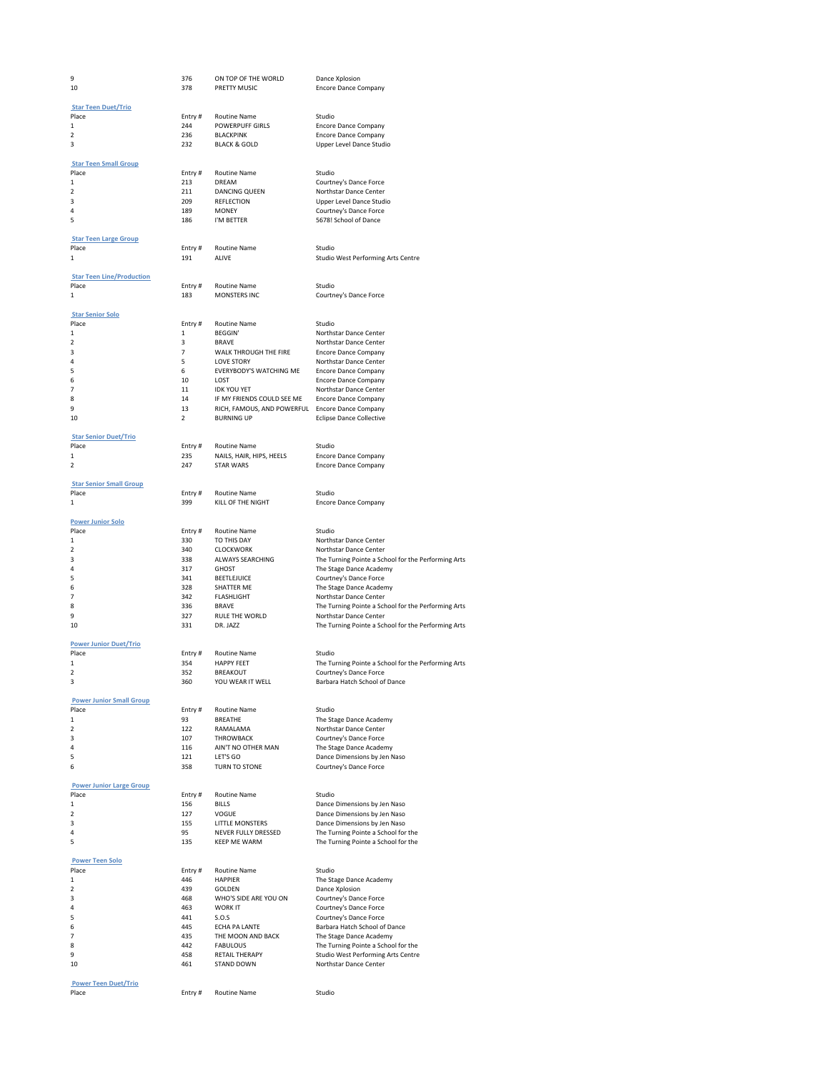| 9                                       | 376                     | ON TOP OF THE WORLD                      | Dance Xplosion                                                                |
|-----------------------------------------|-------------------------|------------------------------------------|-------------------------------------------------------------------------------|
| 10                                      | 378                     | PRETTY MUSIC                             | Encore Dance Company                                                          |
| <b>Star Teen Duet/Trio</b>              |                         |                                          |                                                                               |
| Place                                   | Entry#                  | <b>Routine Name</b>                      | Studio                                                                        |
| 1                                       | 244                     | <b>POWERPUFF GIRLS</b>                   | <b>Encore Dance Company</b>                                                   |
| 2                                       | 236                     | <b>BLACKPINK</b>                         | <b>Encore Dance Company</b>                                                   |
| з                                       | 232                     | <b>BLACK &amp; GOLD</b>                  | Upper Level Dance Studio                                                      |
| <b>Star Teen Small Group</b>            |                         |                                          |                                                                               |
| Place                                   | Entry#                  | Routine Name                             | Studio                                                                        |
| $\mathbf{1}$                            | 213                     | DREAM                                    | Courtney's Dance Force                                                        |
| 2                                       | 211                     | DANCING QUEEN                            | Northstar Dance Center                                                        |
| 3                                       | 209                     | <b>REFLECTION</b>                        | Upper Level Dance Studio                                                      |
| 4<br>5                                  | 189<br>186              | <b>MONEY</b><br>I'M BETTER               | Courtney's Dance Force<br>5678! School of Dance                               |
|                                         |                         |                                          |                                                                               |
| <b>Star Teen Large Group</b>            |                         |                                          |                                                                               |
| Place                                   | Entry#                  | Routine Name                             | Studio                                                                        |
| 1                                       | 191                     | ALIVE                                    | Studio West Performing Arts Centre                                            |
| <b>Star Teen Line/Production</b>        |                         |                                          |                                                                               |
| Place                                   | Entry #                 | <b>Routine Name</b>                      | Studio                                                                        |
| 1                                       | 183                     | MONSTERS INC                             | Courtney's Dance Force                                                        |
|                                         |                         |                                          |                                                                               |
| <b>Star Senior Solo</b>                 |                         |                                          |                                                                               |
| Place<br>1                              | Entry #<br>$\mathbf{1}$ | Routine Name<br><b>BEGGIN'</b>           | Studio<br>Northstar Dance Center                                              |
| $\overline{2}$                          | 3                       | <b>BRAVE</b>                             | Northstar Dance Center                                                        |
| з                                       | $\overline{7}$          | WALK THROUGH THE FIRE                    | <b>Encore Dance Company</b>                                                   |
| 4                                       | 5                       | <b>LOVE STORY</b>                        | Northstar Dance Center                                                        |
| 5                                       | 6                       | EVERYBODY'S WATCHING ME                  | <b>Encore Dance Company</b>                                                   |
| 6<br>7                                  | 10<br>11                | LOST<br><b>IDK YOU YET</b>               | <b>Encore Dance Company</b><br>Northstar Dance Center                         |
| 8                                       | 14                      | IF MY FRIENDS COULD SEE ME               | <b>Encore Dance Company</b>                                                   |
| 9                                       | 13                      | RICH, FAMOUS, AND POWERFUL               | <b>Encore Dance Company</b>                                                   |
| 10                                      | 2                       | <b>BURNING UP</b>                        | <b>Eclipse Dance Collective</b>                                               |
|                                         |                         |                                          |                                                                               |
| <b>Star Senior Duet/Trio</b><br>Place   | Entry #                 | <b>Routine Name</b>                      | Studio                                                                        |
| 1                                       | 235                     | NAILS, HAIR, HIPS, HEELS                 | <b>Encore Dance Company</b>                                                   |
| 2                                       | 247                     | <b>STAR WARS</b>                         | Encore Dance Company                                                          |
|                                         |                         |                                          |                                                                               |
| <b>Star Senior Small Group</b><br>Place |                         |                                          | Studio                                                                        |
| 1                                       | Entry#<br>399           | Routine Name<br>KILL OF THE NIGHT        | <b>Encore Dance Company</b>                                                   |
|                                         |                         |                                          |                                                                               |
| <b>Power Junior Solo</b>                |                         |                                          |                                                                               |
| Place                                   | Entry #                 | Routine Name                             | Studio                                                                        |
| 1<br>2                                  | 330<br>340              | TO THIS DAY<br><b>CLOCKWORK</b>          | Northstar Dance Center<br>Northstar Dance Center                              |
| 3                                       | 338                     | ALWAYS SEARCHING                         | The Turning Pointe a School for the Performing Arts                           |
| 4                                       | 317                     | <b>GHOST</b>                             | The Stage Dance Academy                                                       |
| 5                                       | 341                     | <b>BEETLEJUICE</b>                       | Courtney's Dance Force                                                        |
| 6                                       | 328                     | SHATTER ME                               | The Stage Dance Academy                                                       |
| 7<br>8                                  | 342<br>336              | FI ASHI IGHT<br><b>BRAVE</b>             | Northstar Dance Center<br>The Turning Pointe a School for the Performing Arts |
| 9                                       | 327                     | <b>RULE THE WORLD</b>                    | Northstar Dance Center                                                        |
| 10                                      | 331                     | DR. JAZZ                                 | The Turning Pointe a School for the Performing Arts                           |
|                                         |                         |                                          |                                                                               |
| <b>Power Junior Duet/Trio</b>           |                         |                                          |                                                                               |
| Place<br>$\mathbf{1}$                   | Entry#<br>354           | <b>Routine Name</b><br><b>HAPPY FEET</b> | Studio<br>The Turning Pointe a School for the Performing Arts                 |
| 2                                       | 352                     | <b>BREAKOUT</b>                          | Courtney's Dance Force                                                        |
|                                         | 36U                     | YOU WEAR IT WELL                         | Barbara Hatch School of Dance                                                 |
|                                         |                         |                                          |                                                                               |
| <b>Power Junior Small Group</b>         |                         |                                          |                                                                               |
| Place<br>1                              | Entry#<br>93            | <b>Routine Name</b><br><b>BREATHE</b>    | Studio<br>The Stage Dance Academy                                             |
| 2                                       | 122                     | RAMALAMA                                 | Northstar Dance Center                                                        |
| 3                                       | 107                     | <b>THROWBACK</b>                         | Courtney's Dance Force                                                        |
| 4                                       | 116                     | AIN'T NO OTHER MAN                       | The Stage Dance Academy                                                       |
| 5                                       | 121                     | LET'S GO                                 | Dance Dimensions by Jen Naso                                                  |
| 6                                       | 358                     | TURN TO STONE                            | Courtney's Dance Force                                                        |
| <b>Power Junior Large Group</b>         |                         |                                          |                                                                               |
| Place                                   | Entry #                 | <b>Routine Name</b>                      | Studio                                                                        |
| 1                                       | 156                     | <b>BILLS</b>                             | Dance Dimensions by Jen Naso                                                  |
| 2                                       | 127                     | VOGUE                                    | Dance Dimensions by Jen Naso<br>Dance Dimensions by Jen Naso                  |
| 3<br>4                                  | 155<br>95               | LITTLE MONSTERS<br>NEVER FULLY DRESSED   | The Turning Pointe a School for the                                           |
| 5                                       | 135                     | <b>KEEP ME WARM</b>                      | The Turning Pointe a School for the                                           |
|                                         |                         |                                          |                                                                               |
| <b>Power Teen Solo</b>                  |                         |                                          |                                                                               |
| Place<br>1                              | Entry #<br>446          | Routine Name<br><b>HAPPIER</b>           | Studio<br>The Stage Dance Academy                                             |
| 2                                       | 439                     | GOLDEN                                   | Dance Xplosion                                                                |
| 3                                       | 468                     | WHO'S SIDE ARE YOU ON                    | Courtney's Dance Force                                                        |
| 4                                       | 463                     | <b>WORK IT</b>                           | Courtney's Dance Force                                                        |
| 5                                       | 441                     | S.O.S                                    | Courtney's Dance Force                                                        |
| 6<br>7                                  | 445<br>435              | ECHA PA LANTE<br>THE MOON AND BACK       | Barbara Hatch School of Dance<br>The Stage Dance Academy                      |
| 8                                       | 442                     | <b>FABULOUS</b>                          | The Turning Pointe a School for the                                           |
| 9                                       | 458                     | <b>RETAIL THERAPY</b>                    | Studio West Performing Arts Centre                                            |
| 10                                      | 461                     | <b>STAND DOWN</b>                        | Northstar Dance Center                                                        |
|                                         |                         |                                          |                                                                               |
| <b>Power Teen Duet/Trio</b>             |                         |                                          |                                                                               |
| Place                                   | Entry#                  | <b>Routine Name</b>                      | Studio                                                                        |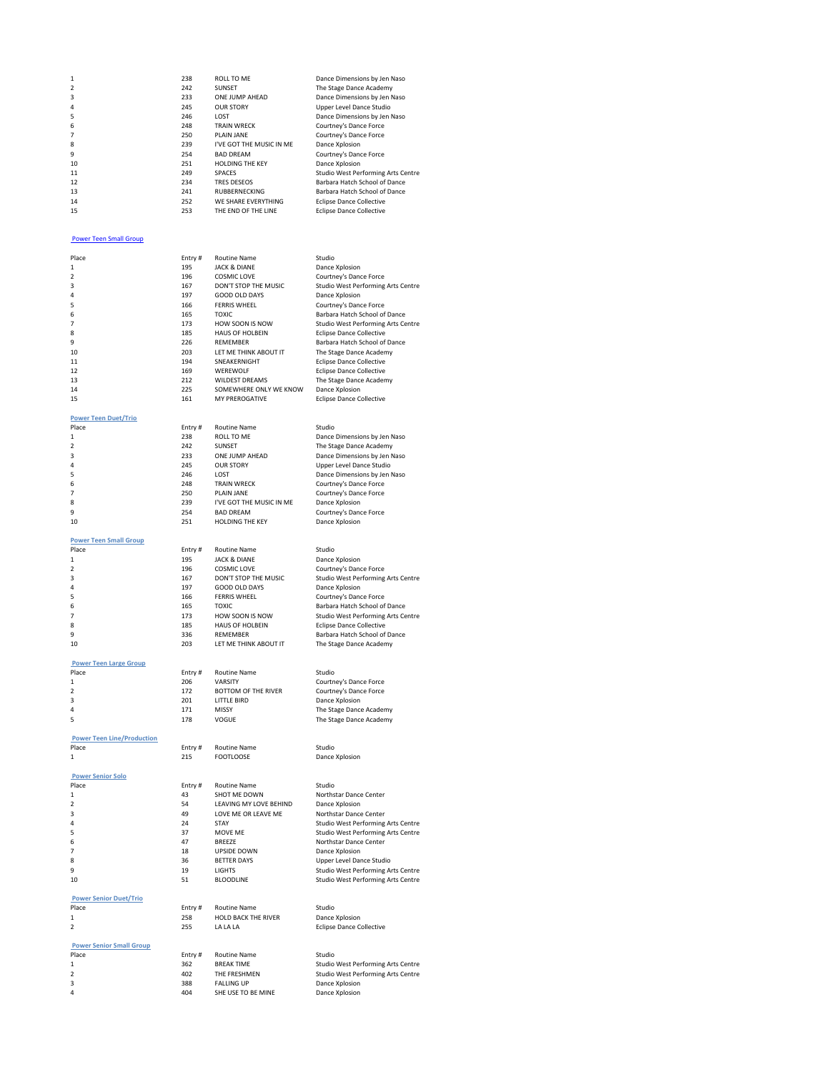| 1  | 238 | ROLL TO ME               | Dance Dimensions by Jen Naso       |
|----|-----|--------------------------|------------------------------------|
|    | 242 | SUNSET                   | The Stage Dance Academy            |
| 3  | 233 | ONE JUMP AHEAD           | Dance Dimensions by Jen Naso       |
| 4  | 245 | <b>OUR STORY</b>         | Upper Level Dance Studio           |
| 5  | 246 | LOST                     | Dance Dimensions by Jen Naso       |
| 6. | 248 | <b>TRAIN WRECK</b>       | Courtney's Dance Force             |
|    | 250 | PLAIN JANE               | Courtney's Dance Force             |
| 8  | 239 | I'VE GOT THE MUSIC IN ME | Dance Xplosion                     |
| 9  | 254 | <b>BAD DREAM</b>         | Courtney's Dance Force             |
| 10 | 251 | <b>HOLDING THE KEY</b>   | Dance Xplosion                     |
| 11 | 249 | <b>SPACES</b>            | Studio West Performing Arts Centre |
| 12 | 234 | <b>TRES DESEOS</b>       | Barbara Hatch School of Dance      |
| 13 | 241 | <b>RUBBERNECKING</b>     | Barbara Hatch School of Dance      |
| 14 | 252 | WE SHARE EVERYTHING      | <b>Eclipse Dance Collective</b>    |
| 15 | 253 | THE END OF THE LINE      | <b>Eclipse Dance Collective</b>    |

## [Power Teen Small Group](/dsv2/admin/score_list.php?events_reportsID=51)

| Place                             | Entry#     | <b>Routine Name</b>        | Studio                             |
|-----------------------------------|------------|----------------------------|------------------------------------|
| 1                                 | 195        | <b>JACK &amp; DIANE</b>    | Dance Xplosion                     |
| $\overline{\phantom{a}}$          | 196        | <b>COSMIC LOVE</b>         | Courtney's Dance Force             |
| 3                                 | 167        | DON'T STOP THE MUSIC       | Studio West Performing Arts Centre |
| 4                                 | 197        | <b>GOOD OLD DAYS</b>       | Dance Xplosion                     |
| 5                                 | 166        | <b>FERRIS WHEEL</b>        | Courtney's Dance Force             |
| 6                                 | 165        | <b>TOXIC</b>               | Barbara Hatch School of Dance      |
| $\overline{7}$                    | 173        | HOW SOON IS NOW            | Studio West Performing Arts Centre |
| 8                                 | 185        | <b>HAUS OF HOLBEIN</b>     | <b>Eclipse Dance Collective</b>    |
| 9                                 | 226        | <b>REMEMBER</b>            | Barbara Hatch School of Dance      |
| 10                                | 203        | LET ME THINK ABOUT IT      | The Stage Dance Academy            |
| 11                                | 194        | SNEAKERNIGHT               | <b>Eclipse Dance Collective</b>    |
| 12                                | 169        | WEREWOLF                   | <b>Eclipse Dance Collective</b>    |
| 13                                | 212        | <b>WILDEST DREAMS</b>      | The Stage Dance Academy            |
| 14                                | 225        | SOMEWHERE ONLY WE KNOW     | Dance Xplosion                     |
| 15                                | 161        | MY PREROGATIVE             | Eclipse Dance Collective           |
|                                   |            |                            |                                    |
| <b>Power Teen Duet/Trio</b>       |            |                            |                                    |
| Place                             | Entry#     | <b>Routine Name</b>        | Studio                             |
| 1                                 | 238        | ROLL TO ME                 | Dance Dimensions by Jen Naso       |
| $\overline{\phantom{a}}$          | 242        | SUNSET                     | The Stage Dance Academy            |
| 3                                 | 233        | ONE JUMP AHEAD             | Dance Dimensions by Jen Naso       |
| 4                                 | 245        | <b>OUR STORY</b>           | Upper Level Dance Studio           |
| 5                                 | 246        | LOST                       | Dance Dimensions by Jen Naso       |
| 6                                 | 248        | <b>TRAIN WRECK</b>         | Courtney's Dance Force             |
|                                   |            |                            |                                    |
| 7<br>8                            | 250<br>239 | PLAIN JANE                 | Courtney's Dance Force             |
|                                   |            | I'VE GOT THE MUSIC IN ME   | Dance Xplosion                     |
| 9                                 | 254        | <b>BAD DREAM</b>           | Courtney's Dance Force             |
| 10                                | 251        | HOLDING THE KEY            | Dance Xplosion                     |
|                                   |            |                            |                                    |
| <b>Power Teen Small Group</b>     |            |                            |                                    |
| Place                             | Entry#     | Routine Name               | Studio                             |
| 1                                 | 195        | <b>JACK &amp; DIANE</b>    | Dance Xplosion                     |
| $\overline{2}$                    | 196        | <b>COSMIC LOVE</b>         | Courtney's Dance Force             |
| 3                                 | 167        | DON'T STOP THE MUSIC       | Studio West Performing Arts Centre |
| 4                                 | 197        | <b>GOOD OLD DAYS</b>       | Dance Xplosion                     |
| 5                                 | 166        | <b>FERRIS WHEEL</b>        | Courtney's Dance Force             |
| 6                                 | 165        | <b>TOXIC</b>               | Barbara Hatch School of Dance      |
| 7                                 | 173        | HOW SOON IS NOW            | Studio West Performing Arts Centre |
| 8                                 | 185        | HAUS OF HOLBEIN            | <b>Eclipse Dance Collective</b>    |
| 9                                 | 336        | REMEMBER                   | Barbara Hatch School of Dance      |
| 10                                | 203        | LET ME THINK ABOUT IT      | The Stage Dance Academy            |
|                                   |            |                            |                                    |
| <b>Power Teen Large Group</b>     |            |                            |                                    |
| Place                             | Entry#     | <b>Routine Name</b>        | Studio                             |
| 1                                 | 206        | VARSITY                    | Courtney's Dance Force             |
| $\overline{\phantom{a}}$          | 172        | <b>BOTTOM OF THE RIVER</b> | Courtney's Dance Force             |
| 3                                 | 201        | LITTLE BIRD                | Dance Xplosion                     |
| 4                                 | 171        | MISSY                      | The Stage Dance Academy            |
| 5                                 | 178        | VOGUE                      | The Stage Dance Academy            |
|                                   |            |                            |                                    |
| <b>Power Teen Line/Production</b> |            |                            |                                    |
| Place                             | Entry#     | <b>Routine Name</b>        | Studio                             |
| 1                                 | 215        | <b>FOOTLOOSE</b>           | Dance Xplosion                     |
|                                   |            |                            |                                    |
| <b>Power Senior Solo</b>          |            |                            |                                    |
| Place                             | Entry#     | Routine Name               | Studio                             |
| 1                                 | 43         | SHOT ME DOWN               | Northstar Dance Center             |
| 2                                 | 54         | LEAVING MY LOVE BEHIND     | Dance Xplosion                     |
| 3                                 | 49         | LOVE ME OR LEAVE ME        | Northstar Dance Center             |
| 4                                 |            |                            |                                    |
|                                   |            |                            |                                    |
|                                   | 24         | STAY                       | Studio West Performing Arts Centre |
| 5                                 | 37         | MOVE ME                    | Studio West Performing Arts Centre |
| 6                                 | 47         | BREEZE                     | Northstar Dance Center             |
| 7                                 | 18         | <b>LIPSIDE DOWN</b>        | Dance Xplosion                     |
| 8                                 | 36         | <b>BETTER DAYS</b>         | <b>Upper Level Dance Studio</b>    |
| 9                                 | 19         | LIGHTS                     | Studio West Performing Arts Centre |
| 10                                | 51         | <b>BLOODLINE</b>           | Studio West Performing Arts Centre |
|                                   |            |                            |                                    |
| <b>Power Senior Duet/Trio</b>     |            |                            |                                    |
| Place                             | Entry#     | <b>Routine Name</b>        | Studio                             |
| 1                                 | 258        | <b>HOLD BACK THE RIVER</b> | Dance Xplosion                     |
| $\mathcal{P}$                     | 255        | LA LA LA                   | <b>Eclipse Dance Collective</b>    |
|                                   |            |                            |                                    |
| <b>Power Senior Small Group</b>   |            |                            |                                    |
| Place                             | Entry#     | <b>Routine Name</b>        | Studio                             |
| 1                                 | 362        | <b>BREAK TIME</b>          | Studio West Performing Arts Centre |
| 2                                 | 402        | THE FRESHMEN               | Studio West Performing Arts Centre |
| 3                                 | 388        | <b>FALLING UP</b>          | Dance Xplosion                     |
| 4                                 | 404        | SHE USE TO BE MINE         | Dance Xplosion                     |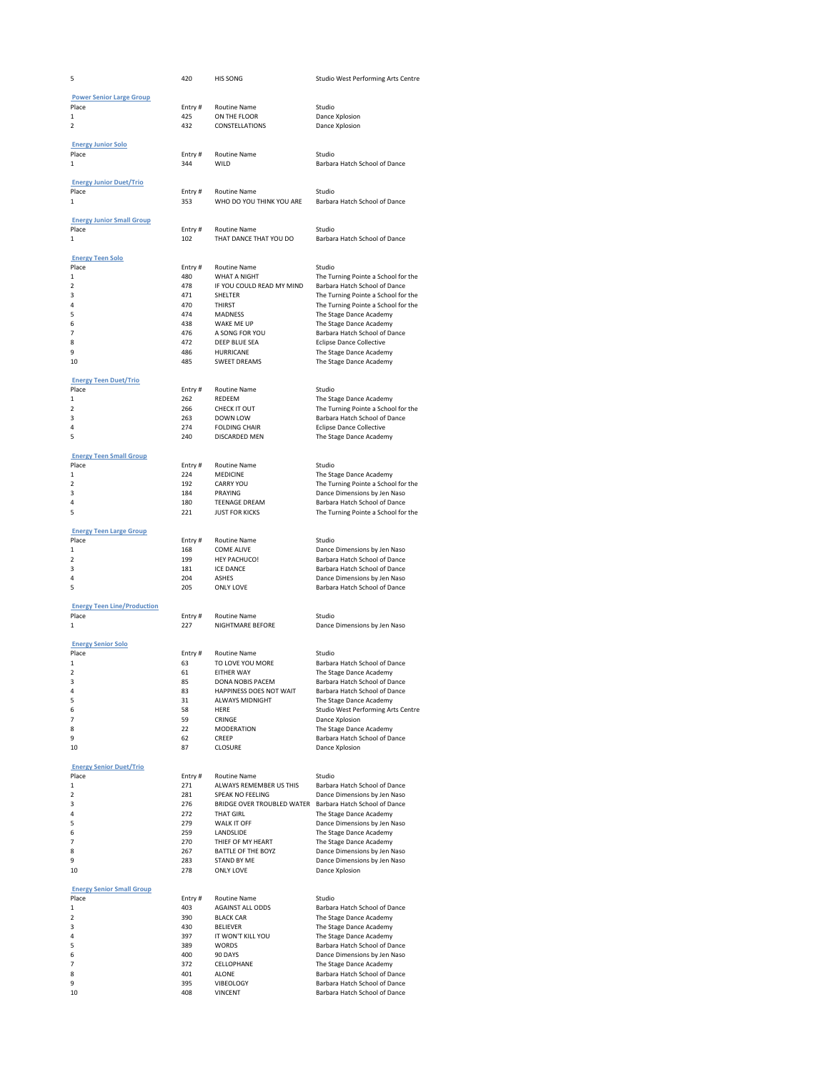| 5                                  | 420           | HIS SONG                                       | Studio West Performing Arts Centre                                   |
|------------------------------------|---------------|------------------------------------------------|----------------------------------------------------------------------|
| <b>Power Senior Large Group</b>    |               |                                                |                                                                      |
| Place                              | Entry#        | <b>Routine Name</b>                            | Studio                                                               |
| $\mathbf{1}$                       | 425           | ON THE FLOOR                                   | Dance Xplosion                                                       |
| $\overline{\phantom{a}}$           | 432           | CONSTELLATIONS                                 | Dance Xplosion                                                       |
| <b>Energy Junior Solo</b>          |               |                                                |                                                                      |
| Place                              | Entry#        | <b>Routine Name</b>                            | Studio                                                               |
| 1                                  | 344           | WILD                                           | Barbara Hatch School of Dance                                        |
| <b>Energy Junior Duet/Trio</b>     |               |                                                |                                                                      |
| Place                              | Entry#        | Routine Name                                   | Studio                                                               |
| $\mathbf{1}$                       | 353           | WHO DO YOU THINK YOU ARE                       | Barbara Hatch School of Dance                                        |
| <b>Energy Junior Small Group</b>   |               |                                                |                                                                      |
| Place                              | Entry#        | Routine Name                                   | Studio                                                               |
| 1                                  | 102           | THAT DANCE THAT YOU DO                         | Barbara Hatch School of Dance                                        |
| <b>Energy Teen Solo</b>            |               |                                                |                                                                      |
| Place                              | Entry#        | Routine Name                                   | Studio                                                               |
| $\mathbf{1}$                       | 480           | <b>WHAT A NIGHT</b>                            | The Turning Pointe a School for the                                  |
| $\overline{2}$<br>3                | 478<br>471    | IF YOU COULD READ MY MIND<br>SHELTER           | Barbara Hatch School of Dance<br>The Turning Pointe a School for the |
| 4                                  | 470           | <b>THIRST</b>                                  | The Turning Pointe a School for the                                  |
| 5                                  | 474           | <b>MADNESS</b>                                 | The Stage Dance Academy                                              |
| 6<br>$\overline{7}$                | 438<br>476    | WAKE ME UP<br>A SONG FOR YOU                   | The Stage Dance Academy<br>Barbara Hatch School of Dance             |
| 8                                  | 472           | DEEP BLUE SEA                                  | <b>Eclipse Dance Collective</b>                                      |
| 9                                  | 486           | HURRICANE                                      | The Stage Dance Academy                                              |
| 10                                 | 485           | <b>SWEET DREAMS</b>                            | The Stage Dance Academy                                              |
| <b>Energy Teen Duet/Trio</b>       |               |                                                |                                                                      |
| Place                              | Entry#        | Routine Name                                   | Studio                                                               |
| 1<br>$\overline{2}$                | 262<br>266    | REDEEM<br>CHECK IT OUT                         | The Stage Dance Academy<br>The Turning Pointe a School for the       |
| 3                                  | 263           | DOWN LOW                                       | Barbara Hatch School of Dance                                        |
| 4                                  | 274           | <b>FOLDING CHAIR</b>                           | <b>Eclipse Dance Collective</b>                                      |
| 5                                  | 240           | DISCARDED MEN                                  | The Stage Dance Academy                                              |
| <b>Energy Teen Small Group</b>     |               |                                                |                                                                      |
| Place                              | Entry#        | <b>Routine Name</b>                            | Studio                                                               |
| 1<br>$\overline{\phantom{a}}$      | 224<br>192    | MEDICINE<br><b>CARRY YOU</b>                   | The Stage Dance Academy<br>The Turning Pointe a School for the       |
| 3                                  | 184           | PRAYING                                        | Dance Dimensions by Jen Naso                                         |
| 4                                  | 180           | TEENAGE DREAM                                  | Barbara Hatch School of Dance                                        |
| 5                                  | 221           | <b>JUST FOR KICKS</b>                          | The Turning Pointe a School for the                                  |
| <b>Energy Teen Large Group</b>     |               |                                                |                                                                      |
| Place                              | Entry#        | Routine Name                                   | Studio                                                               |
| 1<br>$\overline{\mathbf{c}}$       | 168<br>199    | COME ALIVE<br>HEY PACHUCO!                     | Dance Dimensions by Jen Naso<br>Barbara Hatch School of Dance        |
| 3                                  | 181           | <b>ICE DANCE</b>                               | Barbara Hatch School of Dance                                        |
| 4                                  | 204           | <b>ASHES</b>                                   | Dance Dimensions by Jen Naso                                         |
| 5                                  | 205           | ONLY LOVE                                      | Barbara Hatch School of Dance                                        |
| <b>Energy Teen Line/Production</b> |               |                                                |                                                                      |
| Place                              | Entry #       | Routine Name                                   | Studio                                                               |
| $\mathbf{1}$                       | 227           | NIGHTMARE BEFORE                               | Dance Dimensions by Jen Naso                                         |
| <b>Energy Senior Solo</b>          |               |                                                |                                                                      |
| Place                              | Entry#        | Routine Name                                   | Studio                                                               |
| 1<br>$\overline{\phantom{a}}$      | 63<br>61      | TO LOVE YOU MORE<br><b>FITHER WAY</b>          | Barbara Hatch School of Dance<br>The Stage Dance Academy             |
| 3                                  | 85            | DONA NOBIS PACEM                               | Barbara Hatch School of Dance                                        |
| $\overline{4}$                     | 83            | HAPPINESS DOES NOT WAIT                        | Barbara Hatch School of Dance                                        |
| 5<br>6                             | 31<br>58      | ALWAYS MIDNIGHT<br>HERE                        | The Stage Dance Academy<br>Studio West Performing Arts Centre        |
| 7                                  | 59            | CRINGE                                         | Dance Xplosion                                                       |
| 8                                  | 22            | MODERATION                                     | The Stage Dance Academy                                              |
| 9<br>10                            | 62<br>87      | CREEP<br><b>CLOSURE</b>                        | Barbara Hatch School of Dance<br>Dance Xplosion                      |
|                                    |               |                                                |                                                                      |
| <b>Energy Senior Duet/Trio</b>     |               |                                                |                                                                      |
| Place<br>1                         | Entry#<br>271 | <b>Routine Name</b><br>ALWAYS REMEMBER US THIS | Studio<br>Barbara Hatch School of Dance                              |
| $\mathbf 2$                        | 281           | SPEAK NO FEELING                               | Dance Dimensions by Jen Naso                                         |
| 3                                  | 276           | BRIDGE OVER TROUBLED WATER                     | Barbara Hatch School of Dance                                        |
| 4                                  | 272           | <b>THAT GIRL</b>                               | The Stage Dance Academy                                              |
| 5<br>6                             | 279<br>259    | WALK IT OFF<br>LANDSLIDE                       | Dance Dimensions by Jen Naso<br>The Stage Dance Academy              |
| $\overline{7}$                     | 270           | THIEF OF MY HEART                              | The Stage Dance Academy                                              |
| 8<br>9                             | 267           | BATTLE OF THE BOYZ                             | Dance Dimensions by Jen Naso                                         |
| 10                                 | 283<br>278    | STAND BY ME<br>ONLY LOVE                       | Dance Dimensions by Jen Naso<br>Dance Xplosion                       |
|                                    |               |                                                |                                                                      |
| <b>Energy Senior Small Group</b>   |               |                                                |                                                                      |
| Place<br>1                         | Entry#<br>403 | Routine Name<br>AGAINST ALL ODDS               | Studio<br>Barbara Hatch School of Dance                              |
| 2                                  | 390           | <b>BLACK CAR</b>                               | The Stage Dance Academy                                              |
| 3                                  |               |                                                | The Stage Dance Academy                                              |
|                                    | 430           | <b>BELIEVER</b>                                |                                                                      |
| 4<br>5                             | 397<br>389    | IT WON'T KILL YOU                              | The Stage Dance Academy                                              |
| 6                                  | 400           | <b>WORDS</b><br>90 DAYS                        | Barbara Hatch School of Dance<br>Dance Dimensions by Jen Naso        |
| $\overline{7}$                     | 372           | CELLOPHANE                                     | The Stage Dance Academy                                              |
| 8<br>9                             | 401<br>395    | ALONE<br>VIBEOLOGY                             | Barbara Hatch School of Dance<br>Barbara Hatch School of Dance       |
| 10                                 | 408           | <b>VINCENT</b>                                 | Barbara Hatch School of Dance                                        |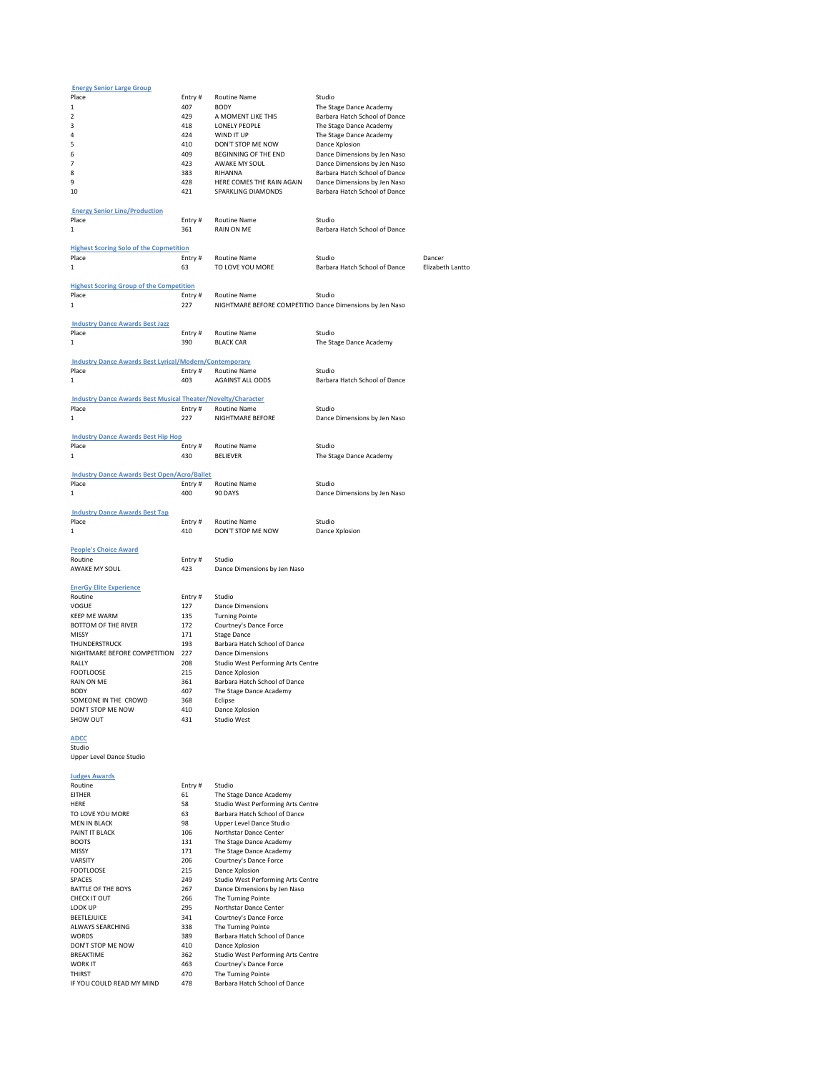| <b>Energy Senior Large Group</b>                                    |            |                                                          |                               |                  |
|---------------------------------------------------------------------|------------|----------------------------------------------------------|-------------------------------|------------------|
| Place                                                               | Entry#     | Routine Name                                             | Studio                        |                  |
| $\,1\,$                                                             | 407        | <b>BODY</b>                                              | The Stage Dance Academy       |                  |
| $\overline{\phantom{a}}$                                            | 429        | A MOMENT LIKE THIS                                       | Barbara Hatch School of Dance |                  |
| 3                                                                   | 418        | <b>LONELY PEOPLE</b>                                     | The Stage Dance Academy       |                  |
| 4                                                                   | 424        | WIND IT UP                                               | The Stage Dance Academy       |                  |
| 5                                                                   | 410        | DON'T STOP ME NOW                                        | Dance Xplosion                |                  |
| 6                                                                   | 409        | BEGINNING OF THE END                                     | Dance Dimensions by Jen Naso  |                  |
| 7                                                                   | 423        | AWAKE MY SOUL                                            | Dance Dimensions by Jen Naso  |                  |
| 8                                                                   | 383        | RIHANNA                                                  | Barbara Hatch School of Dance |                  |
| 9                                                                   | 428        |                                                          |                               |                  |
|                                                                     |            | HERE COMES THE RAIN AGAIN                                | Dance Dimensions by Jen Naso  |                  |
| 10                                                                  | 421        | SPARKLING DIAMONDS                                       | Barbara Hatch School of Dance |                  |
| <b>Energy Senior Line/Production</b>                                |            |                                                          |                               |                  |
| Place                                                               | Entry#     | Routine Name                                             | Studio                        |                  |
| 1                                                                   | 361        | RAIN ON ME                                               | Barbara Hatch School of Dance |                  |
|                                                                     |            |                                                          |                               |                  |
| <b>Highest Scoring Solo of the Copmetition</b>                      |            |                                                          |                               |                  |
| Place                                                               | Entry#     | Routine Name                                             | Studio                        | Dancer           |
| 1                                                                   | 63         | TO LOVE YOU MORE                                         | Barbara Hatch School of Dance | Elizabeth Lantto |
|                                                                     |            |                                                          |                               |                  |
| <b>Highest Scoring Group of the Competition</b>                     |            |                                                          |                               |                  |
| Place                                                               | Entry#     | Routine Name                                             | Studio                        |                  |
| 1                                                                   | 227        | NIGHTMARE BEFORE COMPETITIO Dance Dimensions by Jen Naso |                               |                  |
|                                                                     |            |                                                          |                               |                  |
| <b>Industry Dance Awards Best Jazz</b>                              |            |                                                          |                               |                  |
| Place                                                               | Entry#     | Routine Name                                             | Studio                        |                  |
| $\mathbf{1}$                                                        | 390        | <b>BLACK CAR</b>                                         | The Stage Dance Academy       |                  |
|                                                                     |            |                                                          |                               |                  |
| <b>Industry Dance Awards Best Lyrical/Modern/Contemporary</b>       |            |                                                          |                               |                  |
| Place                                                               | Entry#     | <b>Routine Name</b>                                      | Studio                        |                  |
| 1                                                                   | 403        | AGAINST ALL ODDS                                         | Barbara Hatch School of Dance |                  |
|                                                                     |            |                                                          |                               |                  |
| <b>Industry Dance Awards Best Musical Theater/Novelty/Character</b> |            |                                                          |                               |                  |
| Place                                                               | Entry#     | Routine Name                                             | Studio                        |                  |
|                                                                     |            |                                                          |                               |                  |
| $\mathbf{1}$                                                        | 227        | NIGHTMARE BEFORE                                         | Dance Dimensions by Jen Naso  |                  |
|                                                                     |            |                                                          |                               |                  |
| <b>Industry Dance Awards Best Hip Hop</b>                           |            |                                                          |                               |                  |
| Place                                                               | Entry#     | Routine Name                                             | Studio                        |                  |
| $\mathbf 1$                                                         | 430        | <b>BELIEVER</b>                                          |                               |                  |
|                                                                     |            |                                                          | The Stage Dance Academy       |                  |
|                                                                     |            |                                                          |                               |                  |
| <b>Industry Dance Awards Best Open/Acro/Ballet</b><br>Place         | Entry#     | <b>Routine Name</b>                                      | Studio                        |                  |
| 1                                                                   |            |                                                          |                               |                  |
|                                                                     | 400        | 90 DAYS                                                  | Dance Dimensions by Jen Naso  |                  |
|                                                                     |            |                                                          |                               |                  |
| <b>Industry Dance Awards Best Tap</b><br>Place                      |            | <b>Routine Name</b>                                      | Studio                        |                  |
| $\mathbf{1}$                                                        | Entry#     |                                                          |                               |                  |
|                                                                     | 410        | DON'T STOP ME NOW                                        | Dance Xplosion                |                  |
|                                                                     |            |                                                          |                               |                  |
| <b>People's Choice Award</b><br>Routine                             | Entry#     | Studio                                                   |                               |                  |
| AWAKE MY SOUL                                                       | 423        |                                                          |                               |                  |
|                                                                     |            | Dance Dimensions by Jen Naso                             |                               |                  |
|                                                                     |            |                                                          |                               |                  |
| <b>EnerGy Elite Experience</b><br>Routine                           |            | Studio                                                   |                               |                  |
|                                                                     | Entry#     |                                                          |                               |                  |
| VOGUE                                                               | 127        | <b>Dance Dimensions</b>                                  |                               |                  |
| <b>KEEP ME WARM</b>                                                 | 135<br>172 | <b>Turning Pointe</b>                                    |                               |                  |
| <b>BOTTOM OF THE RIVER</b><br>MISSY                                 |            | Courtney's Dance Force                                   |                               |                  |
|                                                                     | 171        | <b>Stage Dance</b>                                       |                               |                  |
| THUNDERSTRUCK                                                       | 193        | Barbara Hatch School of Dance                            |                               |                  |
| NIGHTMARE BEFORE COMPETITION                                        | 227        | <b>Dance Dimensions</b>                                  |                               |                  |
| RALLY                                                               | 208        | Studio West Performing Arts Centre                       |                               |                  |
| <b>FOOTLOOSE</b>                                                    | 215        | Dance Xplosion                                           |                               |                  |
| <b>RAIN ON ME</b>                                                   | 361        | Barbara Hatch School of Dance                            |                               |                  |
| <b>BODY</b>                                                         | 407        | The Stage Dance Academy                                  |                               |                  |
| SOMEONE IN THE CROWD                                                | 368        | Eclipse                                                  |                               |                  |
| DON'T STOP ME NOW                                                   | 410        | Dance Xplosion                                           |                               |                  |
| SHOW OUT                                                            | 431        | Studio West                                              |                               |                  |

**ADCC** Studio Upper Level Dance Studio

| <b>Judges Awards</b>      |        |                                    |
|---------------------------|--------|------------------------------------|
| Routine                   | Entry# | Studio                             |
| <b>FITHFR</b>             | 61     | The Stage Dance Academy            |
| <b>HFRF</b>               | 58     | Studio West Performing Arts Centre |
| TO LOVE YOU MORE          | 63     | Barbara Hatch School of Dance      |
| MFN IN BI ACK             | 98     | Upper Level Dance Studio           |
| PAINT IT BI ACK           | 106    | Northstar Dance Center             |
| <b>BOOTS</b>              | 131    | The Stage Dance Academy            |
| MISSY                     | 171    | The Stage Dance Academy            |
| VARSITY                   | 206    | Courtney's Dance Force             |
| FOOTLOOSE                 | 215    | Dance Xplosion                     |
| <b>SPACES</b>             | 249    | Studio West Performing Arts Centre |
| BATTI F OF THE BOYS       | 267    | Dance Dimensions by Jen Naso       |
| CHECK IT OUT              | 266    | The Turning Pointe                 |
| LOOK UP                   | 295    | Northstar Dance Center             |
| BEETLEJUICE               | 341    | Courtney's Dance Force             |
| AI WAYS SFARCHING         | 338    | The Turning Pointe                 |
| <b>WORDS</b>              | 389    | Barbara Hatch School of Dance      |
| DON'T STOP ME NOW         | 410    | Dance Xplosion                     |
| <b>BRFAKTIMF</b>          | 362    | Studio West Performing Arts Centre |
| WORK IT                   | 463    | Courtney's Dance Force             |
| THIRST                    | 470    | The Turning Pointe                 |
| IF YOU COULD READ MY MIND | 478    | Barbara Hatch School of Dance      |
|                           |        |                                    |